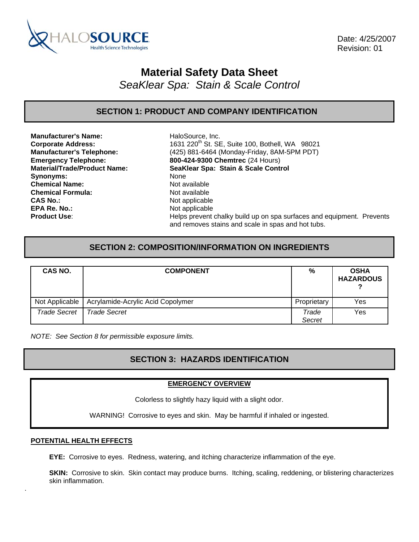

 Date: 4/25/2007 Revision: 01

# **Material Safety Data Sheet**

*SeaKlear Spa: Stain & Scale Control* 

## **SECTION 1: PRODUCT AND COMPANY IDENTIFICATION**

**Manufacturer's Name:** HaloSource, Inc. Synonyms: None **Chemical Name:** Not available **Chemical Formula:** Not available **CAS No.:** Not applicable **EPA Re. No.: Not applicable** 

**Corporate Address:** 1631 220<sup>th</sup> St. SE, Suite 100, Bothell, WA 98021 **Manufacturer's Telephone:** (425) 881-6464 (Monday-Friday, 8AM-5PM PDT) **Emergency Telephone: 800-424-9300 Chemtrec** (24 Hours) **Material/Trade/Product Name: SeaKlear Spa: Stain & Scale Control Product Use: Helps prevent chalky build up on spa surfaces and equipment. Prevents** and removes stains and scale in spas and hot tubs.

## **SECTION 2: COMPOSITION/INFORMATION ON INGREDIENTS**

| CAS NO.             | <b>COMPONENT</b>                  | %               | <b>OSHA</b><br><b>HAZARDOUS</b> |
|---------------------|-----------------------------------|-----------------|---------------------------------|
| Not Applicable      | Acrylamide-Acrylic Acid Copolymer | Proprietary     | Yes                             |
| <b>Trade Secret</b> | Trade Secret                      | Trade<br>Secret | Yes                             |

*NOTE: See Section 8 for permissible exposure limits.* 

## **SECTION 3: HAZARDS IDENTIFICATION**

#### **EMERGENCY OVERVIEW**

Colorless to slightly hazy liquid with a slight odor.

WARNING! Corrosive to eyes and skin. May be harmful if inhaled or ingested.

#### **POTENTIAL HEALTH EFFECTS**

.

**EYE:** Corrosive to eyes. Redness, watering, and itching characterize inflammation of the eye.

**SKIN:** Corrosive to skin. Skin contact may produce burns. Itching, scaling, reddening, or blistering characterizes skin inflammation.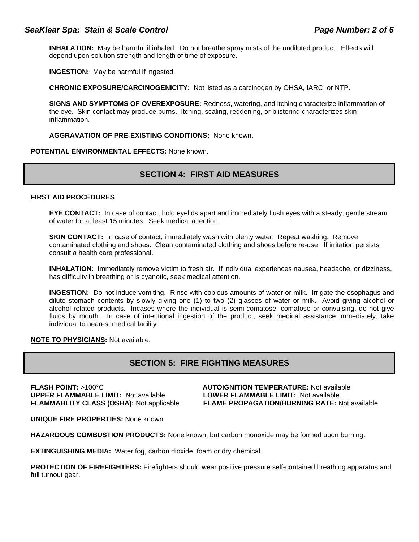#### SeaKlear Spa: Stain & Scale Control **Page 11 and Scale Page 11** and Page Number: 2 of 6

**INHALATION:** May be harmful if inhaled. Do not breathe spray mists of the undiluted product. Effects will depend upon solution strength and length of time of exposure.

**INGESTION:** May be harmful if ingested.

**CHRONIC EXPOSURE/CARCINOGENICITY:** Not listed as a carcinogen by OHSA, IARC, or NTP.

**SIGNS AND SYMPTOMS OF OVEREXPOSURE:** Redness, watering, and itching characterize inflammation of the eye. Skin contact may produce burns. Itching, scaling, reddening, or blistering characterizes skin inflammation.

**AGGRAVATION OF PRE-EXISTING CONDITIONS:** None known.

#### **POTENTIAL ENVIRONMENTAL EFFECTS:** None known.

## **SECTION 4: FIRST AID MEASURES**

#### **FIRST AID PROCEDURES**

**EYE CONTACT:** In case of contact, hold eyelids apart and immediately flush eyes with a steady, gentle stream of water for at least 15 minutes. Seek medical attention.

**SKIN CONTACT:** In case of contact, immediately wash with plenty water. Repeat washing. Remove contaminated clothing and shoes. Clean contaminated clothing and shoes before re-use. If irritation persists consult a health care professional.

**INHALATION:** Immediately remove victim to fresh air. If individual experiences nausea, headache, or dizziness, has difficulty in breathing or is cyanotic, seek medical attention.

**INGESTION:** Do not induce vomiting. Rinse with copious amounts of water or milk. Irrigate the esophagus and dilute stomach contents by slowly giving one (1) to two (2) glasses of water or milk. Avoid giving alcohol or alcohol related products. Incases where the individual is semi-comatose, comatose or convulsing, do not give fluids by mouth. In case of intentional ingestion of the product, seek medical assistance immediately; take individual to nearest medical facility.

**NOTE TO PHYSICIANS:** Not available.

## **SECTION 5: FIRE FIGHTING MEASURES**

**FLASH POINT:** >100°C **AUTOIGNITION TEMPERATURE:** Not available **UPPER FLAMMABLE LIMIT:** Not available **LOWER FLAMMABLE LIMIT:** Not available

**FLAMMABLITY CLASS (OSHA):** Not applicable **FLAME PROPAGATION/BURNING RATE:** Not available

**UNIQUE FIRE PROPERTIES:** None known

**HAZARDOUS COMBUSTION PRODUCTS:** None known, but carbon monoxide may be formed upon burning.

**EXTINGUISHING MEDIA:** Water fog, carbon dioxide, foam or dry chemical.

**PROTECTION OF FIREFIGHTERS:** Firefighters should wear positive pressure self-contained breathing apparatus and full turnout gear.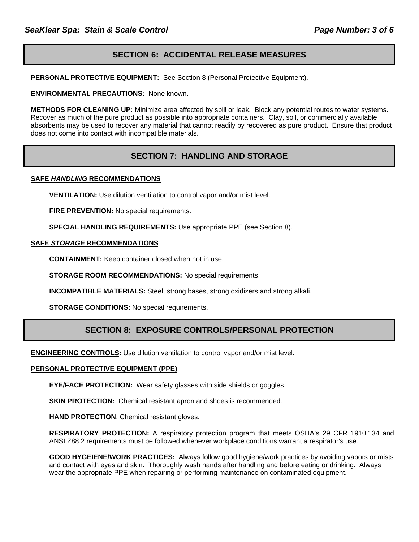## **SECTION 6: ACCIDENTAL RELEASE MEASURES**

**PERSONAL PROTECTIVE EQUIPMENT:** See Section 8 (Personal Protective Equipment).

**ENVIRONMENTAL PRECAUTIONS:** None known.

**METHODS FOR CLEANING UP:** Minimize area affected by spill or leak. Block any potential routes to water systems. Recover as much of the pure product as possible into appropriate containers. Clay, soil, or commercially available absorbents may be used to recover any material that cannot readily by recovered as pure product. Ensure that product does not come into contact with incompatible materials.

## **SECTION 7: HANDLING AND STORAGE**

#### **SAFE** *HANDLING* **RECOMMENDATIONS**

**VENTILATION:** Use dilution ventilation to control vapor and/or mist level.

**FIRE PREVENTION:** No special requirements.

**SPECIAL HANDLING REQUIREMENTS:** Use appropriate PPE (see Section 8).

#### **SAFE** *STORAGE* **RECOMMENDATIONS**

**CONTAINMENT:** Keep container closed when not in use.

**STORAGE ROOM RECOMMENDATIONS:** No special requirements.

**INCOMPATIBLE MATERIALS:** Steel, strong bases, strong oxidizers and strong alkali.

**STORAGE CONDITIONS:** No special requirements.

## **SECTION 8: EXPOSURE CONTROLS/PERSONAL PROTECTION**

**ENGINEERING CONTROLS:** Use dilution ventilation to control vapor and/or mist level.

#### **PERSONAL PROTECTIVE EQUIPMENT (PPE)**

**EYE/FACE PROTECTION:** Wear safety glasses with side shields or goggles.

**SKIN PROTECTION:** Chemical resistant apron and shoes is recommended.

**HAND PROTECTION**: Chemical resistant gloves.

**RESPIRATORY PROTECTION:** A respiratory protection program that meets OSHA's 29 CFR 1910.134 and ANSI Z88.2 requirements must be followed whenever workplace conditions warrant a respirator's use.

**GOOD HYGEIENE/WORK PRACTICES:** Always follow good hygiene/work practices by avoiding vapors or mists and contact with eyes and skin. Thoroughly wash hands after handling and before eating or drinking. Always wear the appropriate PPE when repairing or performing maintenance on contaminated equipment.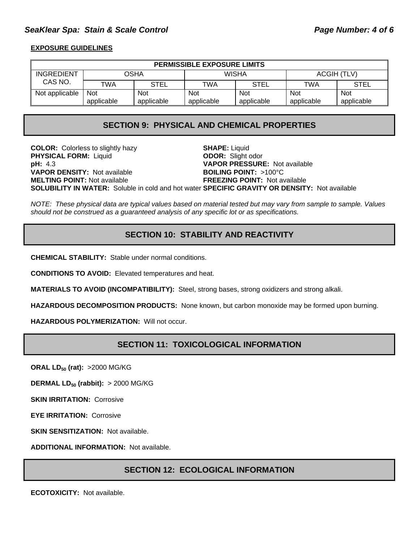## SeaKlear Spa: Stain & Scale Control **Page 19th Control Page Number: 4 of 6**

#### **EXPOSURE GUIDELINES**

| <b>PERMISSIBLE EXPOSURE LIMITS</b> |            |            |            |            |             |             |
|------------------------------------|------------|------------|------------|------------|-------------|-------------|
| INGREDIENT                         | OSHA       |            | WISHA      |            | ACGIH (TLV) |             |
| CAS NO.                            | TWA        | STEL       | TWA        | STEL       | TWA         | <b>STEL</b> |
| Not applicable                     | <b>Not</b> | <b>Not</b> | <b>Not</b> | <b>Not</b> | <b>Not</b>  | <b>Not</b>  |
|                                    | applicable | applicable | applicable | applicable | applicable  | applicable  |

## **SECTION 9: PHYSICAL AND CHEMICAL PROPERTIES**

**COLOR:** Colorless to slightly hazy **SHAPE:** Liquid **PHYSICAL FORM:** Liquid **ODOR:** Slight odor **pH:** 4.3 **VAPOR PRESSURE:** Not available **VAPOR DENSITY:** Not available **BOILING POINT:** >100°C **MELTING POINT:** Not available **FREEZING POINT:** Not available **SOLUBILITY IN WATER:** Soluble in cold and hot water **SPECIFIC GRAVITY OR DENSITY:** Not available

*NOTE: These physical data are typical values based on material tested but may vary from sample to sample. Values should not be construed as a guaranteed analysis of any specific lot or as specifications.*

## **SECTION 10: STABILITY AND REACTIVITY**

**CHEMICAL STABILITY:** Stable under normal conditions.

**CONDITIONS TO AVOID:** Elevated temperatures and heat.

**MATERIALS TO AVOID (INCOMPATIBILITY):** Steel, strong bases, strong oxidizers and strong alkali.

**HAZARDOUS DECOMPOSITION PRODUCTS:** None known, but carbon monoxide may be formed upon burning.

**HAZARDOUS POLYMERIZATION:** Will not occur.

## **SECTION 11: TOXICOLOGICAL INFORMATION**

**ORAL LD<sub>50</sub> (rat): >2000 MG/KG** 

**DERMAL LD<sub>50</sub> (rabbit):** > 2000 MG/KG

**SKIN IRRITATION: Corrosive** 

**EYE IRRITATION:** Corrosive

**SKIN SENSITIZATION: Not available.** 

**ADDITIONAL INFORMATION:** Not available.

## **SECTION 12: ECOLOGICAL INFORMATION**

**ECOTOXICITY:** Not available.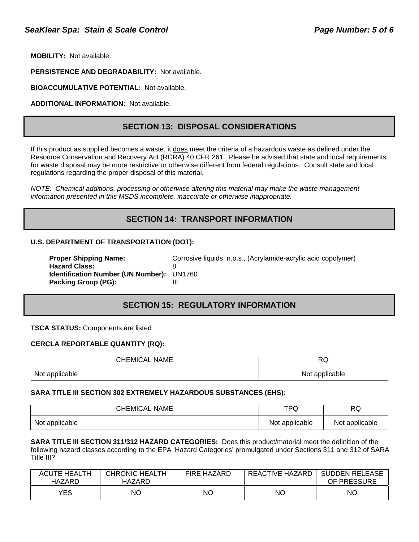**MOBILITY:** Not available.

**PERSISTENCE AND DEGRADABILITY:** Not available.

**BIOACCUMULATIVE POTENTIAL:** Not available.

**ADDITIONAL INFORMATION:** Not available.

#### **SECTION 13: DISPOSAL CONSIDERATIONS**

If this product as supplied becomes a waste, it does meet the criteria of a hazardous waste as defined under the Resource Conservation and Recovery Act (RCRA) 40 CFR 261. Please be advised that state and local requirements for waste disposal may be more restrictive or otherwise different from federal regulations. Consult state and local regulations regarding the proper disposal of this material.

*NOTE: Chemical additions, processing or otherwise altering this material may make the waste management information presented in this MSDS incomplete, inaccurate or otherwise inappropriate.* 

## **SECTION 14: TRANSPORT INFORMATION**

#### **U.S. DEPARTMENT OF TRANSPORTATION (DOT):**

| <b>Proper Shipping Name:</b>              | Corrosive liquids, n.o.s., (Acrylamide-acrylic acid copolymer) |
|-------------------------------------------|----------------------------------------------------------------|
| <b>Hazard Class:</b>                      |                                                                |
| Identification Number (UN Number): UN1760 |                                                                |
| Packing Group (PG):                       |                                                                |

## **SECTION 15: REGULATORY INFORMATION**

#### **TSCA STATUS:** Components are listed

#### **CERCLA REPORTABLE QUANTITY (RQ):**

| <b>CHEMICAL NAME</b> | <b>RQ</b>      |  |
|----------------------|----------------|--|
| Not applicable       | Not applicable |  |

#### **SARA TITLE III SECTION 302 EXTREMELY HAZARDOUS SUBSTANCES (EHS):**

| <b>CHEMICAL NAME</b> | TPQ            | <b>RQ</b>      |
|----------------------|----------------|----------------|
| Not applicable       | Not applicable | Not applicable |

**SARA TITLE III SECTION 311/312 HAZARD CATEGORIES:** Does this product/material meet the definition of the following hazard classes according to the EPA 'Hazard Categories' promulgated under Sections 311 and 312 of SARA Title III?

| <b>ACUTE HEALTH</b><br>HAZARD | CHRONIC HEALTH<br>HAZARD | <b>FIRE HAZARD</b> | REACTIVE HAZARD | <b>SUDDEN RELEASE</b><br>OF PRESSURE |
|-------------------------------|--------------------------|--------------------|-----------------|--------------------------------------|
| YES                           | ΝO                       | NΟ                 | ΝC              | ΝC                                   |